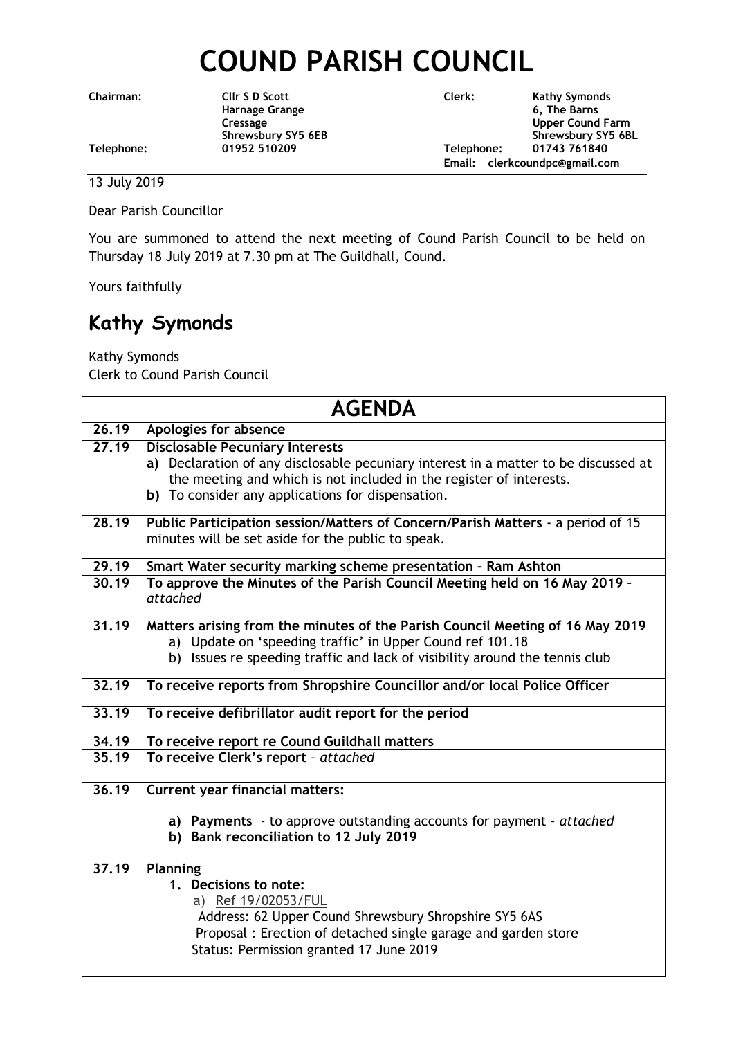## **COUND PARISH COUNCIL**

**Shrewsbury SY5 6EB** 

**Chairman: Cllr S D Scott Clerk: Kathy Symonds Harnage Grange 6, The Barns** Cressage **Upper Cound Farm**<br>
Shrewsbury SY5 6EB<br>
Shrewsbury SY5 6EB **Telephone: 01952 510209 Telephone: 01743 761840 Email: clerkcoundpc@gmail.com**

## 13 July 2019

Dear Parish Councillor

You are summoned to attend the next meeting of Cound Parish Council to be held on Thursday 18 July 2019 at 7.30 pm at The Guildhall, Cound.

Yours faithfully

## **Kathy Symonds**

Kathy Symonds Clerk to Cound Parish Council

| <b>AGENDA</b> |                                                                                                                                                                                                                                                           |  |
|---------------|-----------------------------------------------------------------------------------------------------------------------------------------------------------------------------------------------------------------------------------------------------------|--|
| 26.19         | Apologies for absence                                                                                                                                                                                                                                     |  |
| 27.19         | <b>Disclosable Pecuniary Interests</b><br>a) Declaration of any disclosable pecuniary interest in a matter to be discussed at<br>the meeting and which is not included in the register of interests.<br>b) To consider any applications for dispensation. |  |
| 28.19         | Public Participation session/Matters of Concern/Parish Matters - a period of 15<br>minutes will be set aside for the public to speak.                                                                                                                     |  |
| 29.19         | Smart Water security marking scheme presentation - Ram Ashton                                                                                                                                                                                             |  |
| 30.19         | To approve the Minutes of the Parish Council Meeting held on 16 May 2019 -<br>attached                                                                                                                                                                    |  |
| 31.19         | Matters arising from the minutes of the Parish Council Meeting of 16 May 2019<br>a) Update on 'speeding traffic' in Upper Cound ref 101.18<br>b) Issues re speeding traffic and lack of visibility around the tennis club                                 |  |
| 32.19         | To receive reports from Shropshire Councillor and/or local Police Officer                                                                                                                                                                                 |  |
| 33.19         | To receive defibrillator audit report for the period                                                                                                                                                                                                      |  |
| 34.19         | To receive report re Cound Guildhall matters                                                                                                                                                                                                              |  |
| 35.19         | To receive Clerk's report - attached                                                                                                                                                                                                                      |  |
| 36.19         | <b>Current year financial matters:</b>                                                                                                                                                                                                                    |  |
|               | a) Payments - to approve outstanding accounts for payment - attached<br>b) Bank reconciliation to 12 July 2019                                                                                                                                            |  |
| 37.19         | Planning                                                                                                                                                                                                                                                  |  |
|               | 1. Decisions to note:<br>a) Ref 19/02053/FUL<br>Address: 62 Upper Cound Shrewsbury Shropshire SY5 6AS<br>Proposal: Erection of detached single garage and garden store<br>Status: Permission granted 17 June 2019                                         |  |